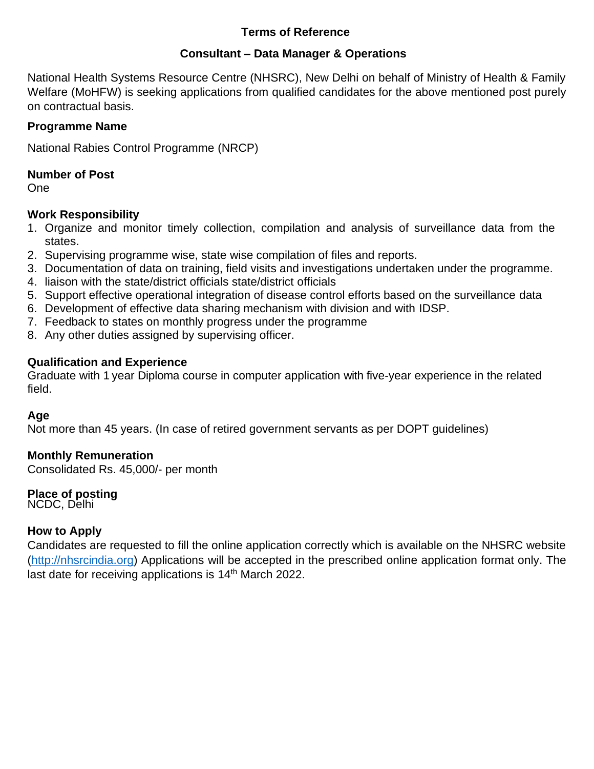### **Terms of Reference**

## **Consultant – Data Manager & Operations**

National Health Systems Resource Centre (NHSRC), New Delhi on behalf of Ministry of Health & Family Welfare (MoHFW) is seeking applications from qualified candidates for the above mentioned post purely on contractual basis.

## **Programme Name**

National Rabies Control Programme (NRCP)

## **Number of Post**

One

## **Work Responsibility**

- 1. Organize and monitor timely collection, compilation and analysis of surveillance data from the states.
- 2. Supervising programme wise, state wise compilation of files and reports.
- 3. Documentation of data on training, field visits and investigations undertaken under the programme.
- 4. liaison with the state/district officials state/district officials
- 5. Support effective operational integration of disease control efforts based on the surveillance data
- 6. Development of effective data sharing mechanism with division and with IDSP.
- 7. Feedback to states on monthly progress under the programme
- 8. Any other duties assigned by supervising officer.

## **Qualification and Experience**

Graduate with 1 year Diploma course in computer application with five-year experience in the related field.

## **Age**

Not more than 45 years. (In case of retired government servants as per DOPT guidelines)

## **Monthly Remuneration**

Consolidated Rs. 45,000/- per month

## **Place of posting**

NCDC, Delhi

## **How to Apply**

Candidates are requested to fill the online application correctly which is available on the NHSRC website [\(http://nhsrcindia.org\)](http://nhsrcindia.org/) Applications will be accepted in the prescribed online application format only. The last date for receiving applications is 14<sup>th</sup> March 2022.